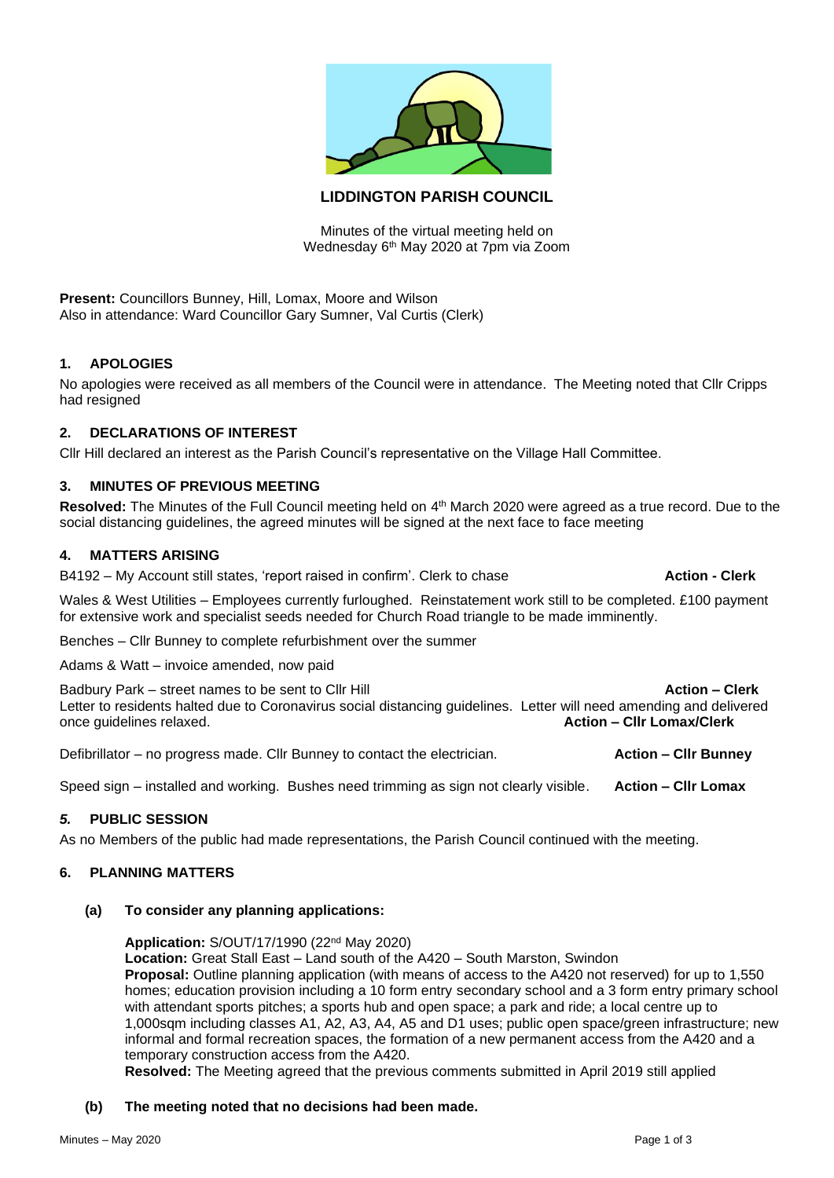

# **LIDDINGTON PARISH COUNCIL**

Minutes of the virtual meeting held on Wednesday 6th May 2020 at 7pm via Zoom

**Present:** Councillors Bunney, Hill, Lomax, Moore and Wilson Also in attendance: Ward Councillor Gary Sumner, Val Curtis (Clerk)

## **1. APOLOGIES**

No apologies were received as all members of the Council were in attendance. The Meeting noted that Cllr Cripps had resigned

### **2. DECLARATIONS OF INTEREST**

Cllr Hill declared an interest as the Parish Council's representative on the Village Hall Committee.

### **3. MINUTES OF PREVIOUS MEETING**

Resolved: The Minutes of the Full Council meeting held on 4<sup>th</sup> March 2020 were agreed as a true record. Due to the social distancing guidelines, the agreed minutes will be signed at the next face to face meeting

#### **4. MATTERS ARISING**

B4192 – My Account still states, 'report raised in confirm'. Clerk to chase **Action - Clerk** 

Wales & West Utilities – Employees currently furloughed. Reinstatement work still to be completed. £100 payment for extensive work and specialist seeds needed for Church Road triangle to be made imminently.

Benches – Cllr Bunney to complete refurbishment over the summer

Adams & Watt – invoice amended, now paid

Badbury Park – street names to be sent to Cllr Hill **Action – Clerk Action – Clerk** Letter to residents halted due to Coronavirus social distancing guidelines. Letter will need amending and delivered once guidelines relaxed. **Action – Cllr Lomax/Clerk**

Defibrillator – no progress made. Cllr Bunney to contact the electrician. **Action – Cllr Bunney**

Speed sign – installed and working. Bushes need trimming as sign not clearly visible. **Action – Cllr Lomax**

### *5.* **PUBLIC SESSION**

As no Members of the public had made representations, the Parish Council continued with the meeting.

## **6. PLANNING MATTERS**

#### **(a) To consider any planning applications:**

**Application:** S/OUT/17/1990 (22nd May 2020)

**Location:** Great Stall East – Land south of the A420 – South Marston, Swindon **Proposal:** Outline planning application (with means of access to the A420 not reserved) for up to 1,550 homes; education provision including a 10 form entry secondary school and a 3 form entry primary school with attendant sports pitches; a sports hub and open space; a park and ride; a local centre up to 1,000sqm including classes A1, A2, A3, A4, A5 and D1 uses; public open space/green infrastructure; new informal and formal recreation spaces, the formation of a new permanent access from the A420 and a temporary construction access from the A420.

**Resolved:** The Meeting agreed that the previous comments submitted in April 2019 still applied

#### **(b) The meeting noted that no decisions had been made.**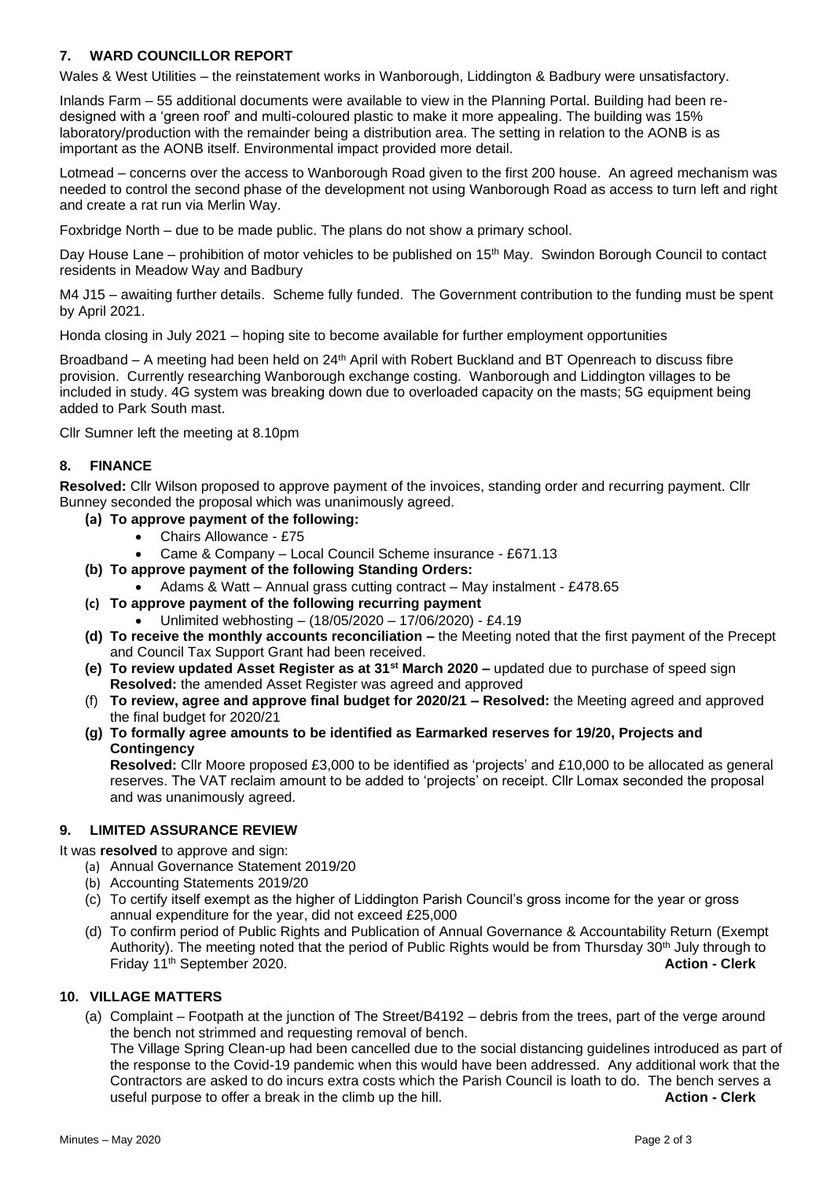# **7. WARD COUNCILLOR REPORT**

Wales & West Utilities – the reinstatement works in Wanborough, Liddington & Badbury were unsatisfactory.

Inlands Farm – 55 additional documents were available to view in the Planning Portal. Building had been redesigned with a 'green roof' and multi-coloured plastic to make it more appealing. The building was 15% laboratory/production with the remainder being a distribution area. The setting in relation to the AONB is as important as the AONB itself. Environmental impact provided more detail.

Lotmead – concerns over the access to Wanborough Road given to the first 200 house. An agreed mechanism was needed to control the second phase of the development not using Wanborough Road as access to turn left and right and create a rat run via Merlin Way.

Foxbridge North – due to be made public. The plans do not show a primary school.

Day House Lane – prohibition of motor vehicles to be published on 15<sup>th</sup> May. Swindon Borough Council to contact residents in Meadow Way and Badbury

M4 J15 – awaiting further details. Scheme fully funded. The Government contribution to the funding must be spent by April 2021.

Honda closing in July 2021 – hoping site to become available for further employment opportunities

Broadband – A meeting had been held on 24<sup>th</sup> April with Robert Buckland and BT Openreach to discuss fibre provision. Currently researching Wanborough exchange costing. Wanborough and Liddington villages to be included in study. 4G system was breaking down due to overloaded capacity on the masts; 5G equipment being added to Park South mast.

Cllr Sumner left the meeting at 8.10pm

# **8. FINANCE**

**Resolved:** Cllr Wilson proposed to approve payment of the invoices, standing order and recurring payment. Cllr Bunney seconded the proposal which was unanimously agreed.

- **(a) To approve payment of the following:**
	- Chairs Allowance £75
	- Came & Company Local Council Scheme insurance £671.13
- **(b) To approve payment of the following Standing Orders:**
	- Adams & Watt Annual grass cutting contract May instalment £478.65
- **(c) To approve payment of the following recurring payment**
	- Unlimited webhosting (18/05/2020 17/06/2020) £4.19
- **(d) To receive the monthly accounts reconciliation –** the Meeting noted that the first payment of the Precept and Council Tax Support Grant had been received.
- **(e) To review updated Asset Register as at 31st March 2020 –** updated due to purchase of speed sign **Resolved:** the amended Asset Register was agreed and approved
- (f) **To review, agree and approve final budget for 2020/21 – Resolved:** the Meeting agreed and approved the final budget for 2020/21
- **(g) To formally agree amounts to be identified as Earmarked reserves for 19/20, Projects and Contingency**

**Resolved:** Cllr Moore proposed £3,000 to be identified as 'projects' and £10,000 to be allocated as general reserves. The VAT reclaim amount to be added to 'projects' on receipt. Cllr Lomax seconded the proposal and was unanimously agreed.

## **9. LIMITED ASSURANCE REVIEW**

It was **resolved** to approve and sign:

- (a) Annual Governance Statement 2019/20
- (b) Accounting Statements 2019/20
- (c) To certify itself exempt as the higher of Liddington Parish Council's gross income for the year or gross annual expenditure for the year, did not exceed £25,000
- (d) To confirm period of Public Rights and Publication of Annual Governance & Accountability Return (Exempt Authority). The meeting noted that the period of Public Rights would be from Thursday 30<sup>th</sup> July through to Friday 11th September 2020. **Action - Clerk**

#### **10. VILLAGE MATTERS**

(a) Complaint – Footpath at the junction of The Street/B4192 – debris from the trees, part of the verge around the bench not strimmed and requesting removal of bench.

The Village Spring Clean-up had been cancelled due to the social distancing guidelines introduced as part of the response to the Covid-19 pandemic when this would have been addressed. Any additional work that the Contractors are asked to do incurs extra costs which the Parish Council is loath to do. The bench serves a useful purpose to offer a break in the climb up the hill. **Action - Clerk**